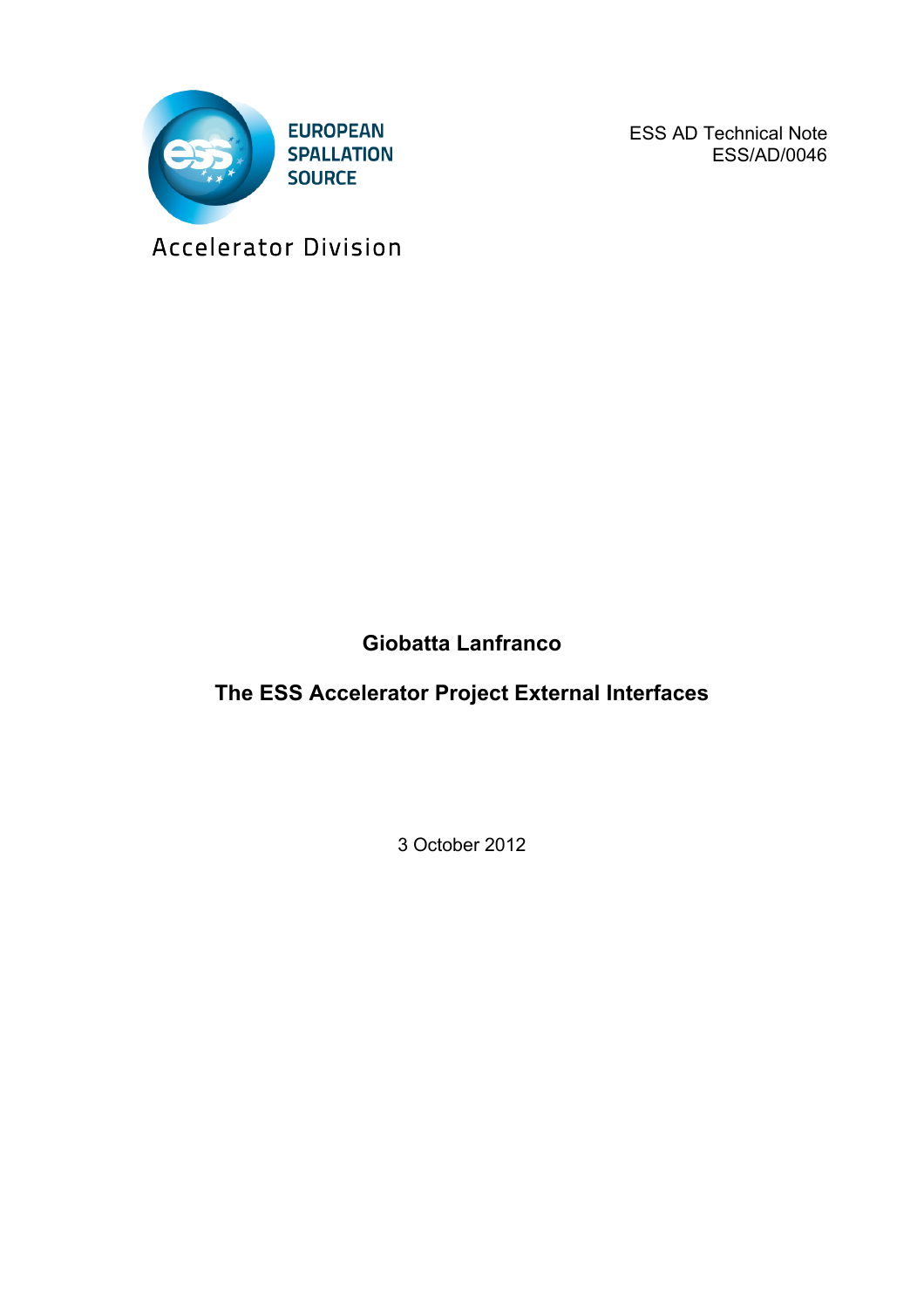

ESS AD Technical Note ESS/AD/0046

Accelerator Division

## **Giobatta Lanfranco**

**The ESS Accelerator Project External Interfaces**

3 October 2012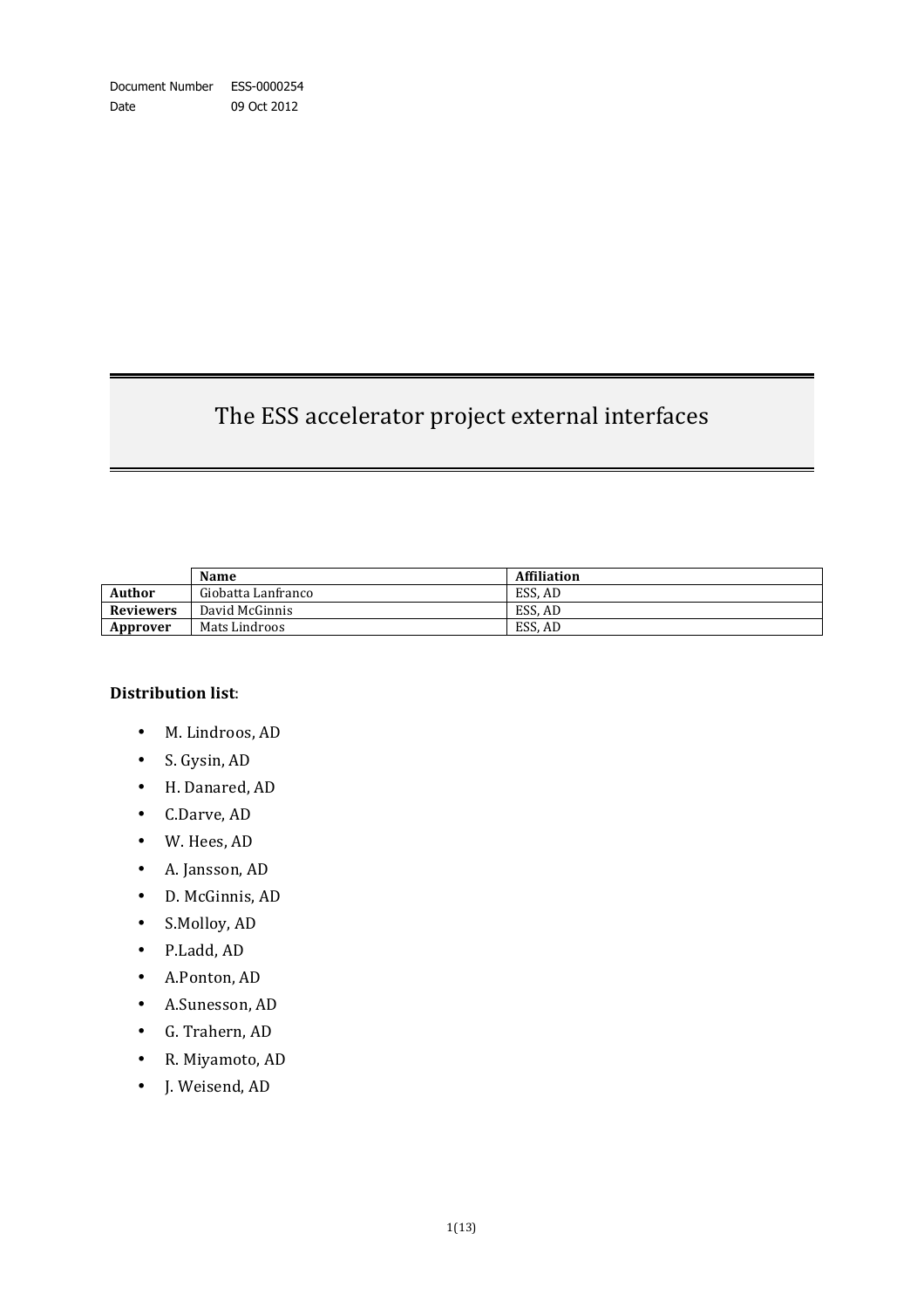# The ESS accelerator project external interfaces

|                  | Name               | <b>Affiliation</b> |
|------------------|--------------------|--------------------|
| <b>Author</b>    | Giobatta Lanfranco | ESS. AD            |
| <b>Reviewers</b> | David McGinnis     | ESS. AD            |
| Approver         | Mats Lindroos      | ESS. AD            |

#### **Distribution list**:

- M. Lindroos, AD
- S. Gysin, AD
- H. Danared, AD
- C.Darve, AD
- W. Hees, AD
- A. Jansson, AD
- D. McGinnis, AD
- S.Molloy, AD
- P.Ladd, AD
- A.Ponton, AD
- A.Sunesson, AD
- G. Trahern, AD
- R. Miyamoto, AD
- J. Weisend, AD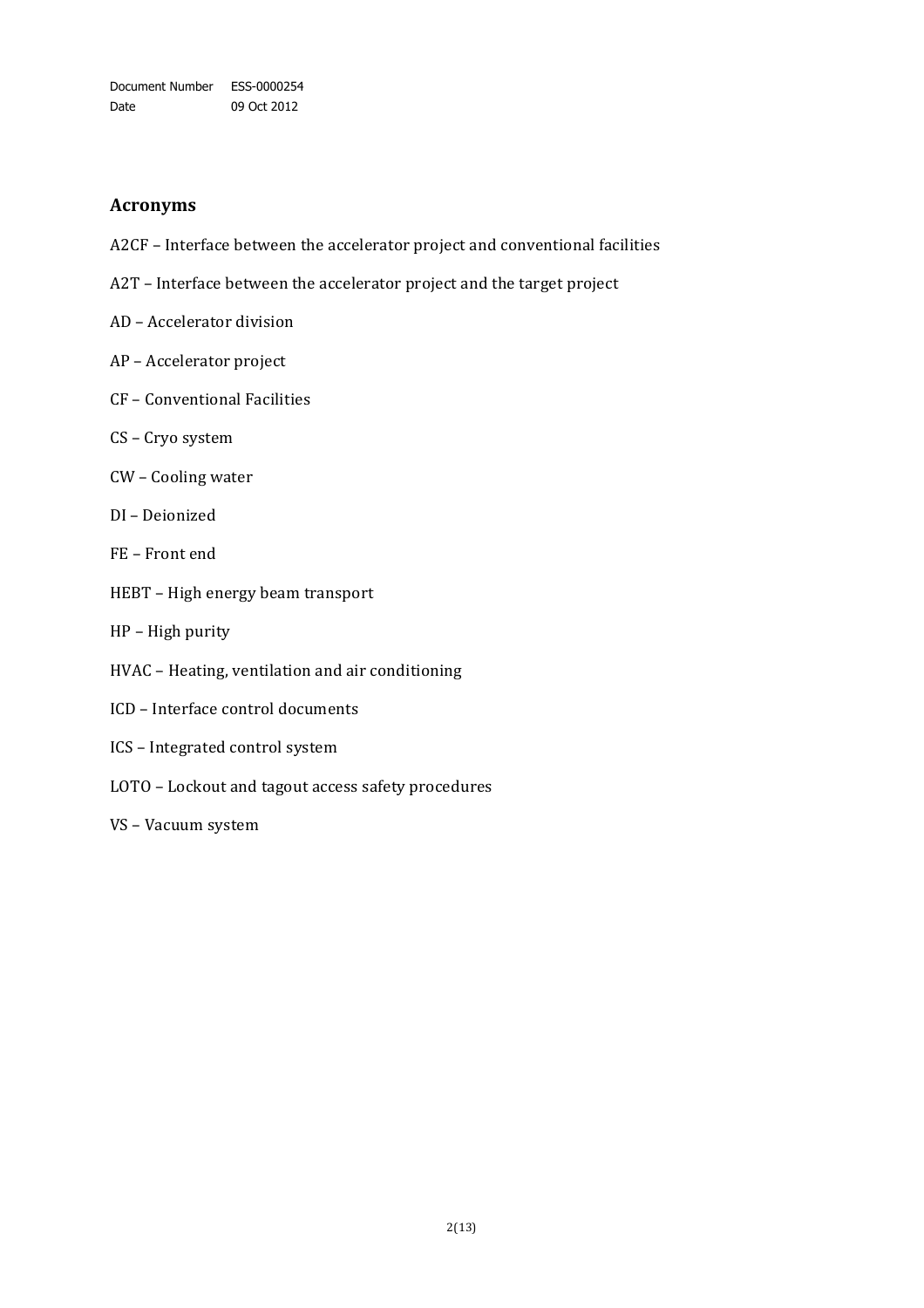Document Number ESS-0000254 Date 09 Oct 2012

#### **Acronyms**

- A2CF Interface between the accelerator project and conventional facilities
- A2T Interface between the accelerator project and the target project
- AD Accelerator division
- AP Accelerator project
- CF Conventional Facilities
- CS Cryo system
- CW Cooling water
- DI Deionized
- FE Front end
- HEBT High energy beam transport
- HP High purity
- HVAC Heating, ventilation and air conditioning
- ICD Interface control documents
- ICS Integrated control system
- LOTO Lockout and tagout access safety procedures
- VS Vacuum system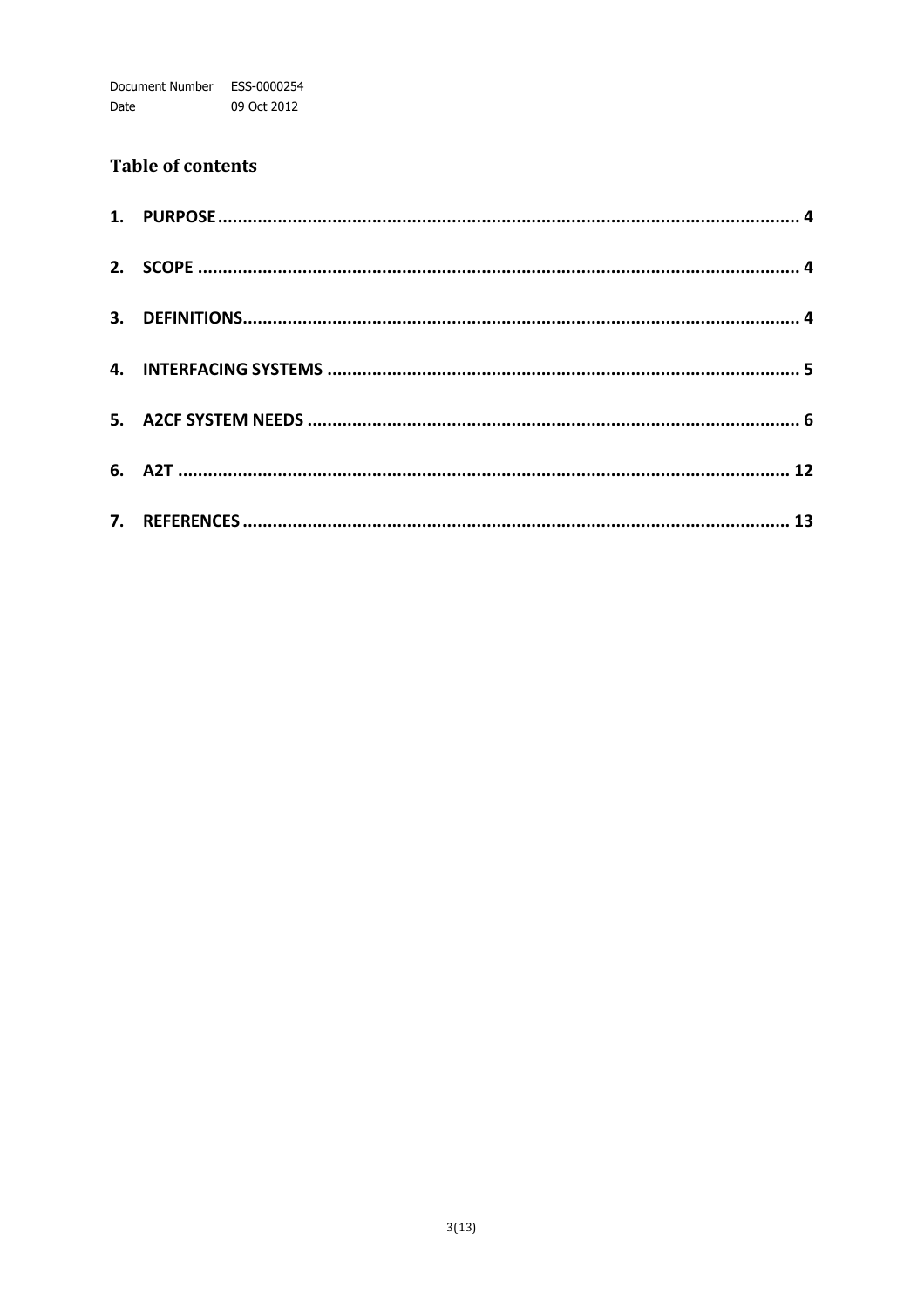### **Table of contents**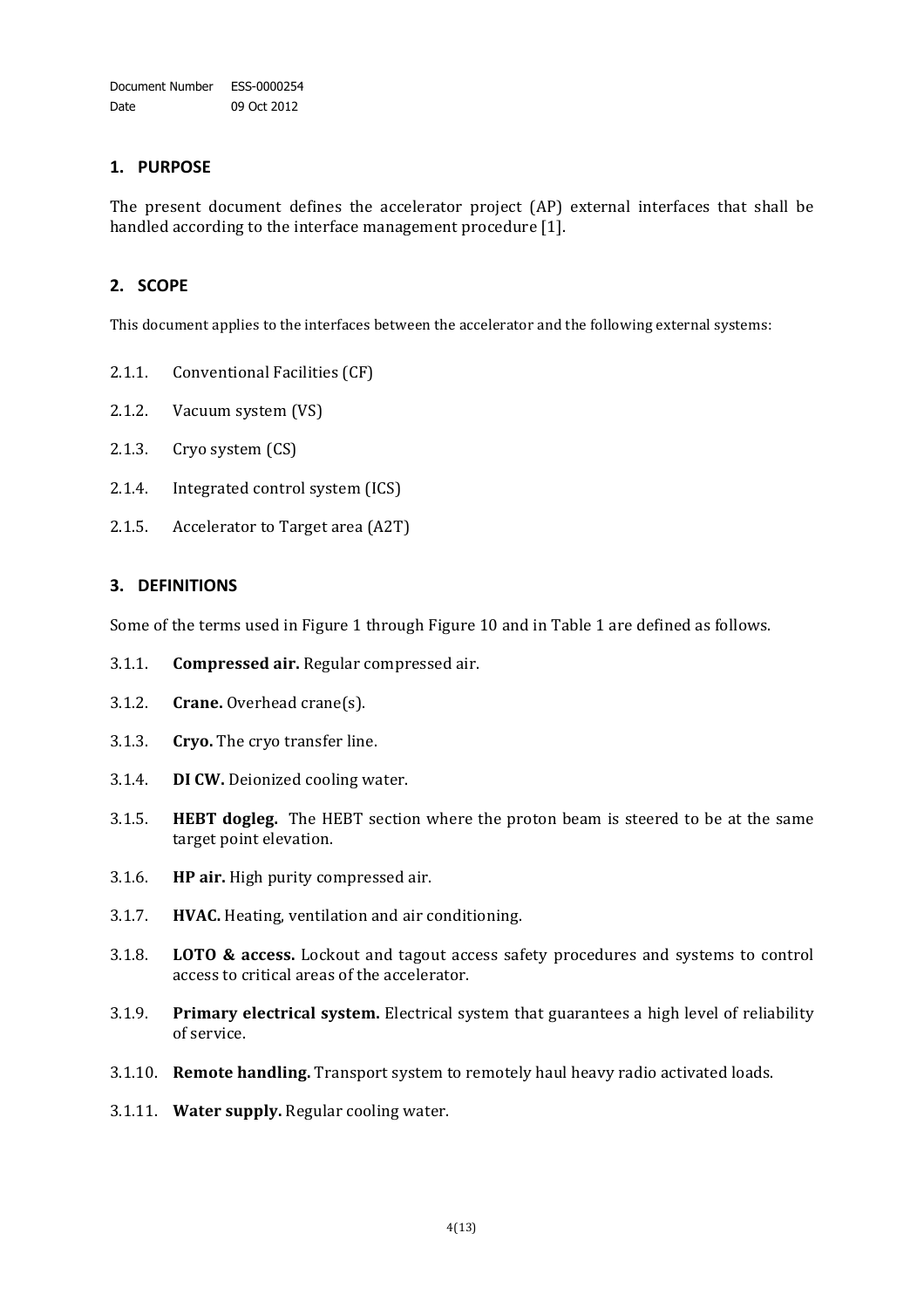#### **1. PURPOSE**

The present document defines the accelerator project (AP) external interfaces that shall be handled according to the interface management procedure [1].

#### **2. SCOPE**

This document applies to the interfaces between the accelerator and the following external systems:

- 2.1.1. Conventional Facilities (CF)
- 2.1.2. Vacuum system (VS)
- 2.1.3. Cryo system  $(CS)$
- 2.1.4. Integrated control system (ICS)
- 2.1.5. Accelerator to Target area (A2T)

#### **3. DEFINITIONS**

Some of the terms used in Figure 1 through Figure 10 and in Table 1 are defined as follows.

- 3.1.1. **Compressed air.** Regular compressed air.
- 3.1.2. **Crane.** Overhead crane(s).
- 3.1.3. **Cryo.** The cryo transfer line.
- 3.1.4. **DI CW.** Deionized cooling water.
- 3.1.5. **HEBT dogleg.** The HEBT section where the proton beam is steered to be at the same target point elevation.
- 3.1.6. **HP air.** High purity compressed air.
- 3.1.7. **HVAC.** Heating, ventilation and air conditioning.
- 3.1.8. **LOTO & access.** Lockout and tagout access safety procedures and systems to control access to critical areas of the accelerator.
- 3.1.9. **Primary electrical system.** Electrical system that guarantees a high level of reliability of service.
- 3.1.10. **Remote handling.** Transport system to remotely haul heavy radio activated loads.
- 3.1.11. **Water supply.** Regular cooling water.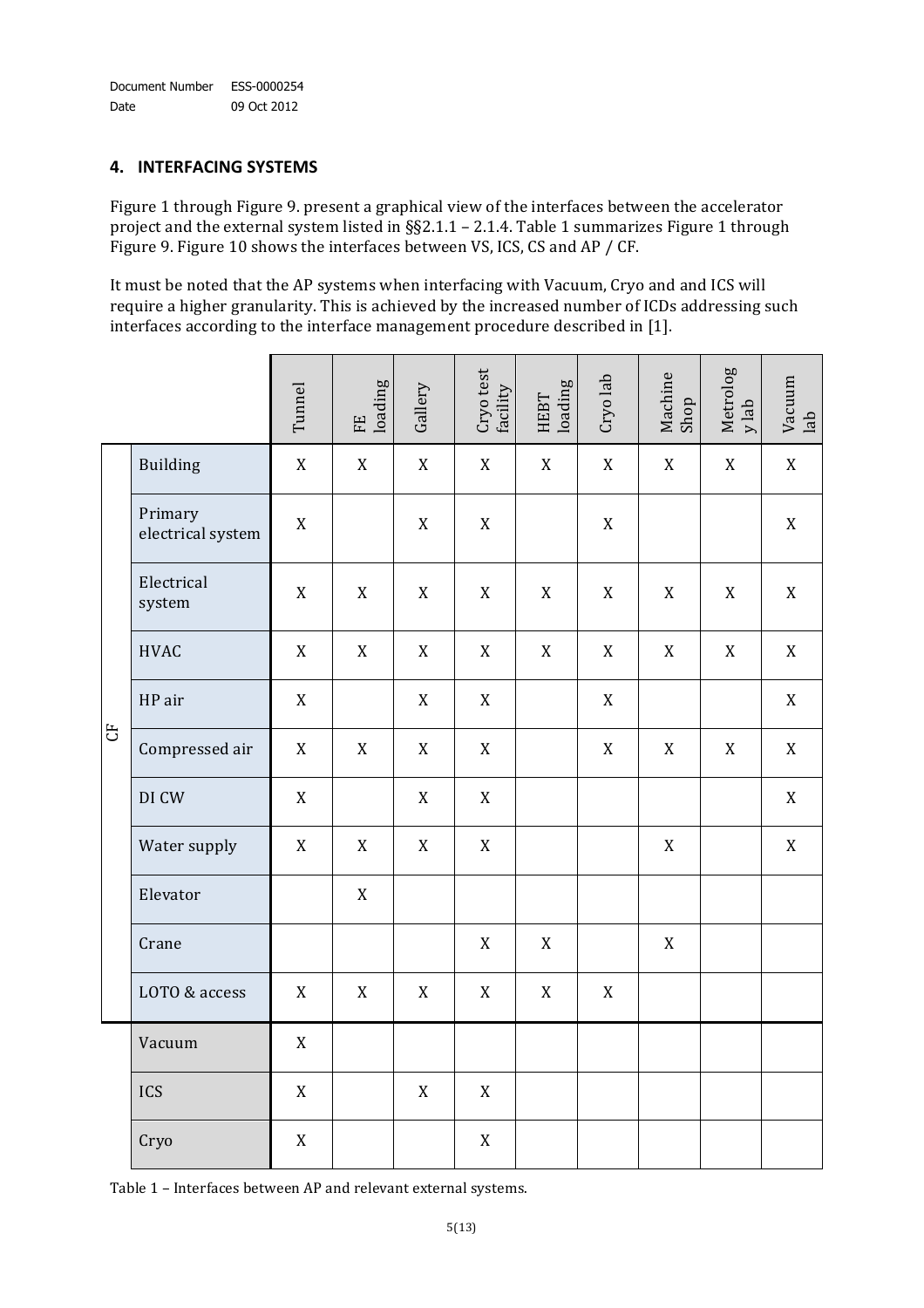#### **4. INTERFACING)SYSTEMS**

Figure 1 through Figure 9. present a graphical view of the interfaces between the accelerator project and the external system listed in §§2.1.1 - 2.1.4. Table 1 summarizes Figure 1 through Figure 9. Figure 10 shows the interfaces between VS, ICS, CS and AP / CF.

It must be noted that the AP systems when interfacing with Vacuum, Cryo and and ICS will require a higher granularity. This is achieved by the increased number of ICDs addressing such interfaces according to the interface management procedure described in [1].

|       |                              | Tunnel      | loading<br>$\mathbf{E}$ | Gallery     | $\mathop{\mathrm{Gryo\,test}}\limits_{\mathop{\mathrm{facility}}\limits}$ | loading<br><b>HEBT</b> | Cryo lab    | Machine<br>Shop | Metrolog<br>$y$ lab | $\begin{array}{c} \text{Vacuum} \\ \text{lab} \end{array}$ |
|-------|------------------------------|-------------|-------------------------|-------------|---------------------------------------------------------------------------|------------------------|-------------|-----------------|---------------------|------------------------------------------------------------|
| $\Xi$ | <b>Building</b>              | $\mathbf X$ | $\mathbf X$             | $\mathbf X$ | $\mathbf X$                                                               | $\mathbf X$            | $\mathbf X$ | $\mathbf X$     | $\mathbf X$         | $\mathbf X$                                                |
|       | Primary<br>electrical system | X           |                         | X           | $\mathbf X$                                                               |                        | X           |                 |                     | $\mathbf X$                                                |
|       | Electrical<br>system         | X           | $\mathbf X$             | $\mathbf X$ | $\mathbf X$                                                               | $\mathbf X$            | $\mathbf X$ | X               | $\mathbf X$         | $\mathbf X$                                                |
|       | <b>HVAC</b>                  | X           | X                       | $\mathbf X$ | X                                                                         | $\mathbf X$            | X           | X               | $\mathbf X$         | $\mathbf X$                                                |
|       | HP air                       | X           |                         | X           | X                                                                         |                        | X           |                 |                     | $\mathbf X$                                                |
|       | Compressed air               | X           | $\mathbf X$             | X           | $\mathbf X$                                                               |                        | X           | X               | $\mathbf X$         | X                                                          |
|       | DI CW                        | X           |                         | $\mathbf X$ | X                                                                         |                        |             |                 |                     | $\mathbf X$                                                |
|       | Water supply                 | X           | X                       | $\mathbf X$ | X                                                                         |                        |             | X               |                     | $\mathbf X$                                                |
|       | Elevator                     |             | $\mathbf X$             |             |                                                                           |                        |             |                 |                     |                                                            |
|       | Crane                        |             |                         |             | $\mathbf X$                                                               | $\mathbf X$            |             | X               |                     |                                                            |
|       | LOTO & access                | X           | X                       | X           | X                                                                         | X                      | X           |                 |                     |                                                            |
|       | Vacuum                       | $\mathbf X$ |                         |             |                                                                           |                        |             |                 |                     |                                                            |
|       | ICS                          | $\mathbf X$ |                         | $\mathbf X$ | $\mathbf X$                                                               |                        |             |                 |                     |                                                            |
|       | Cryo                         | $\mathbf X$ |                         |             | $\mathbf X$                                                               |                        |             |                 |                     |                                                            |

Table 1 - Interfaces between AP and relevant external systems.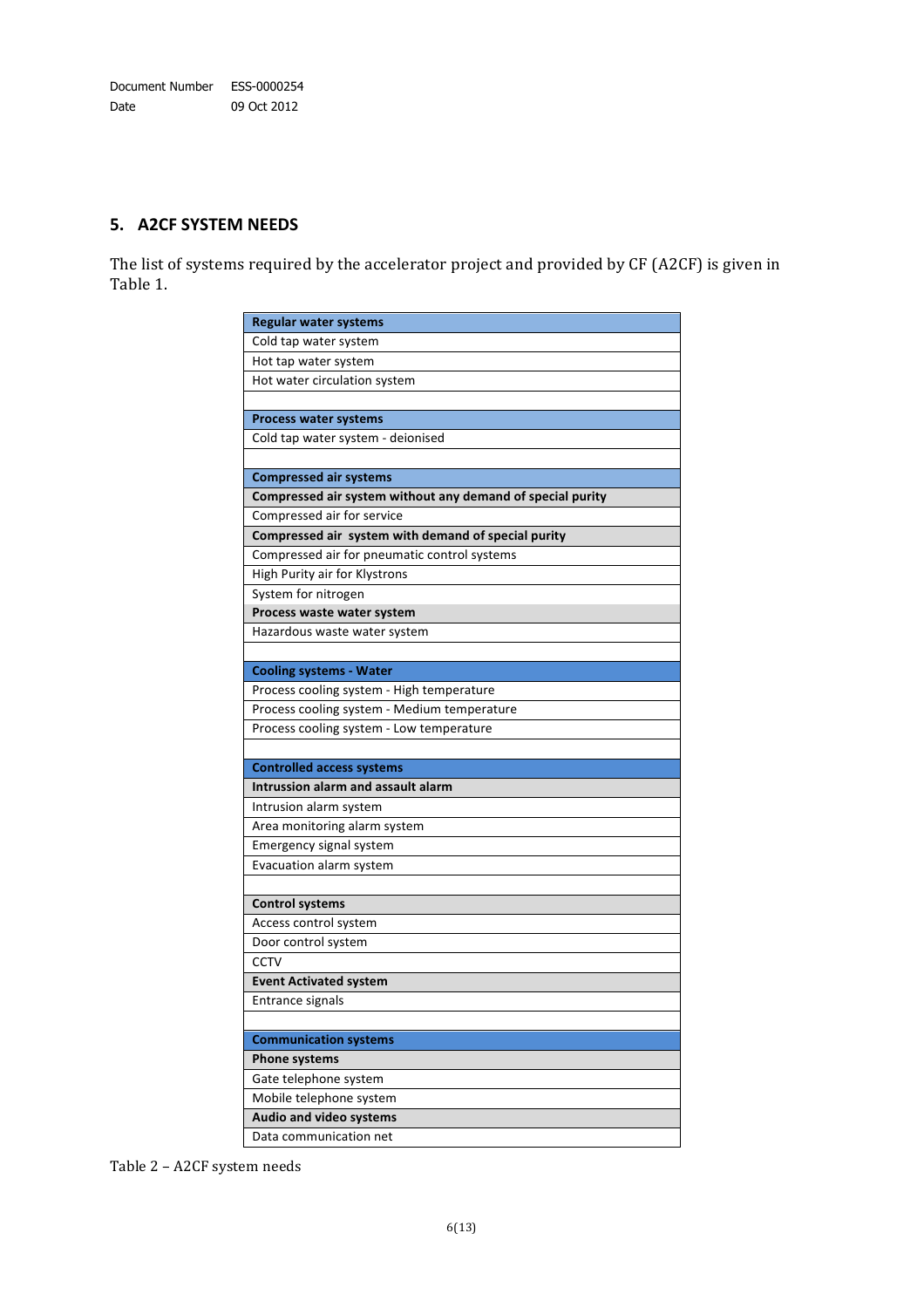#### **5. A2CF SYSTEM NEEDS**

The list of systems required by the accelerator project and provided by CF (A2CF) is given in Table 1.

| <b>Regular water systems</b>                               |
|------------------------------------------------------------|
| Cold tap water system                                      |
| Hot tap water system                                       |
| Hot water circulation system                               |
|                                                            |
| <b>Process water systems</b>                               |
| Cold tap water system - deionised                          |
|                                                            |
| <b>Compressed air systems</b>                              |
| Compressed air system without any demand of special purity |
| Compressed air for service                                 |
| Compressed air system with demand of special purity        |
| Compressed air for pneumatic control systems               |
| High Purity air for Klystrons                              |
| System for nitrogen                                        |
| Process waste water system                                 |
| Hazardous waste water system                               |
|                                                            |
| <b>Cooling systems - Water</b>                             |
| Process cooling system - High temperature                  |
| Process cooling system - Medium temperature                |
| Process cooling system - Low temperature                   |
|                                                            |
| <b>Controlled access systems</b>                           |
| Intrussion alarm and assault alarm                         |
| Intrusion alarm system                                     |
| Area monitoring alarm system                               |
| Emergency signal system                                    |
| Evacuation alarm system                                    |
|                                                            |
| <b>Control systems</b>                                     |
| Access control system                                      |
| Door control system                                        |
| CCTV                                                       |
| <b>Event Activated system</b>                              |
| Entrance signals                                           |
|                                                            |
| <b>Communication systems</b>                               |
| <b>Phone systems</b>                                       |
| Gate telephone system                                      |
| Mobile telephone system                                    |
| Audio and video systems                                    |
| Data communication net                                     |

Table 2 - A2CF system needs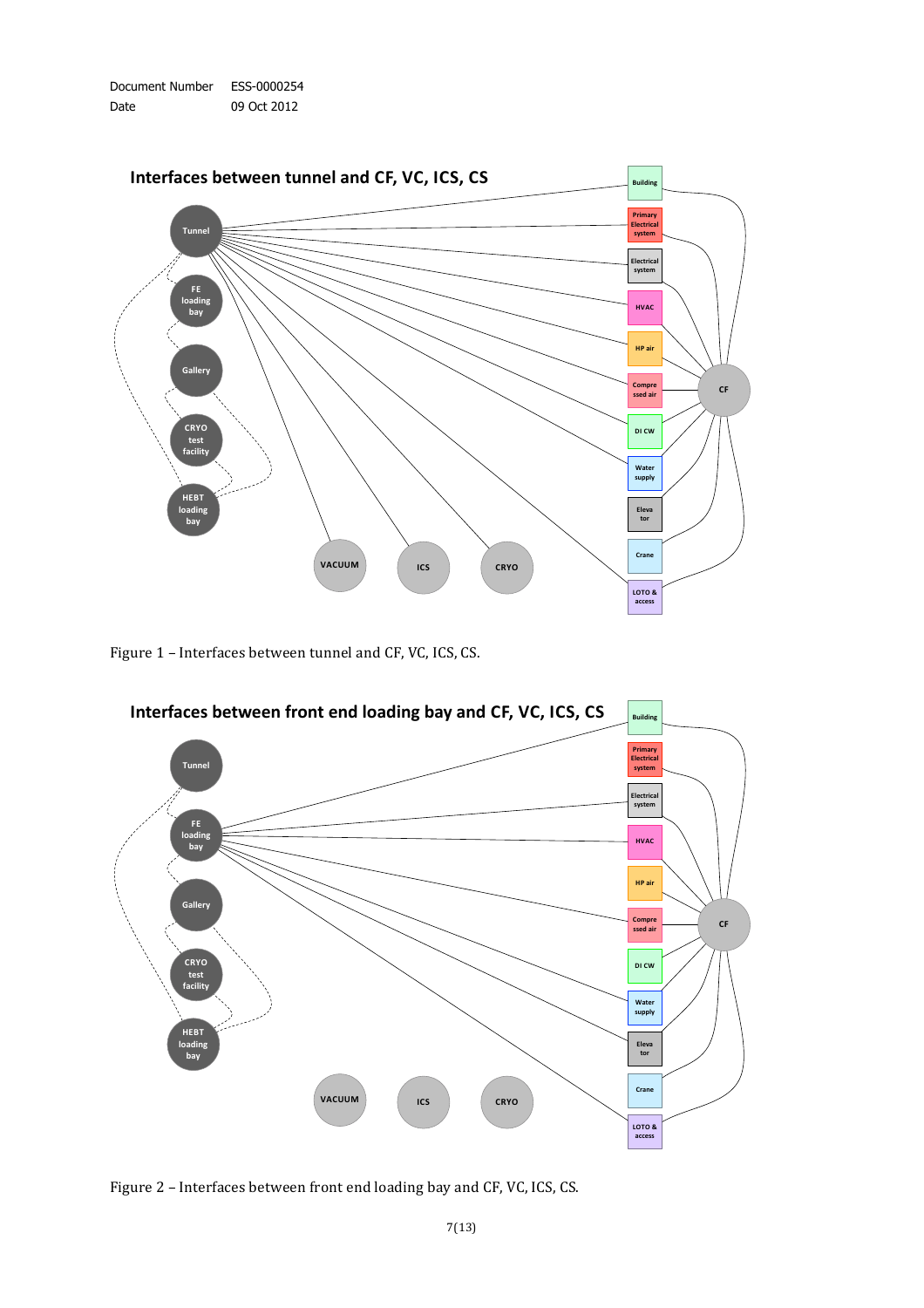



Figure 1 – Interfaces between tunnel and CF, VC, ICS, CS.



Figure 2 – Interfaces between front end loading bay and CF, VC, ICS, CS.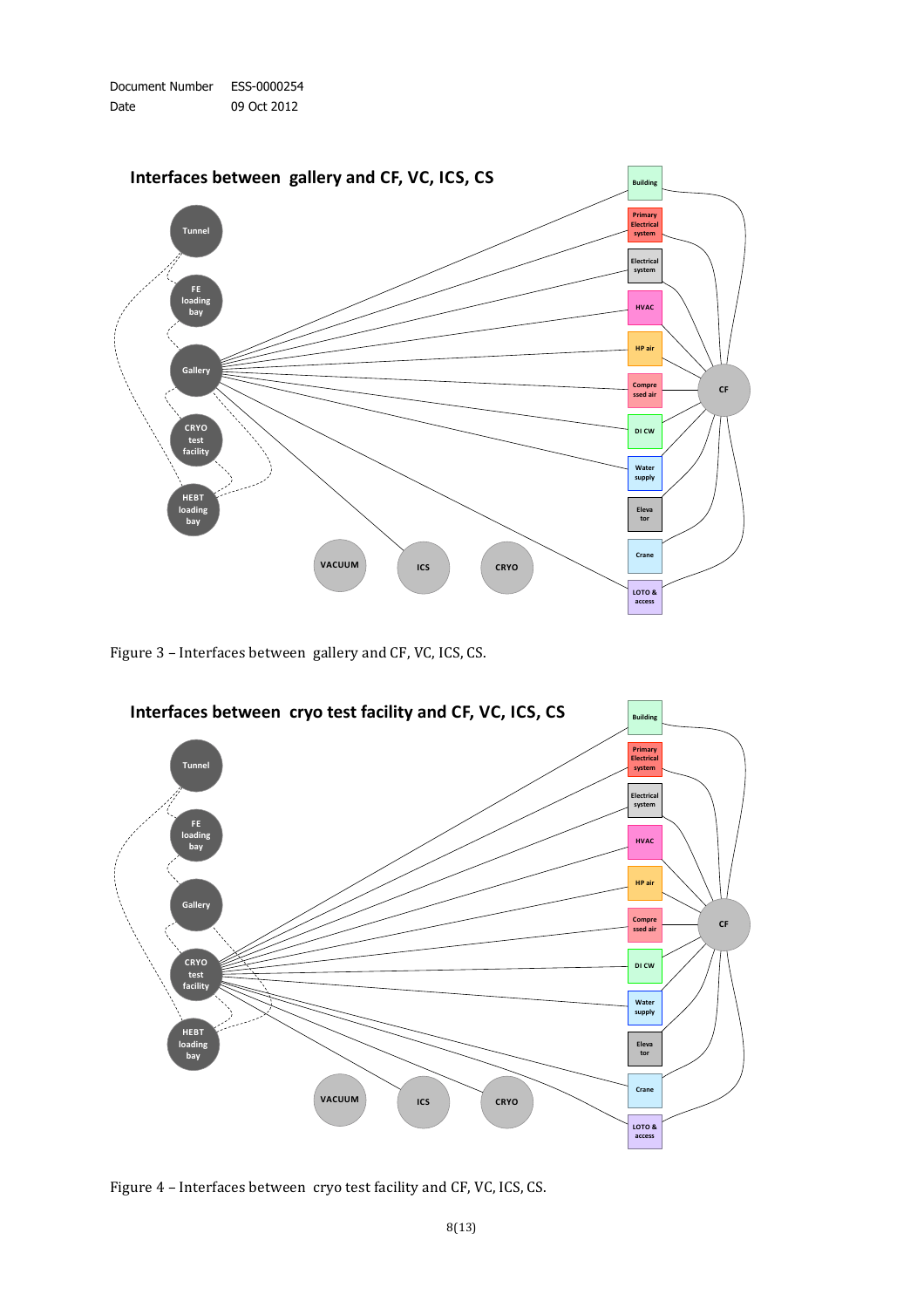



Figure 3 – Interfaces between gallery and CF, VC, ICS, CS.



Figure 4 – Interfaces between cryo test facility and CF, VC, ICS, CS.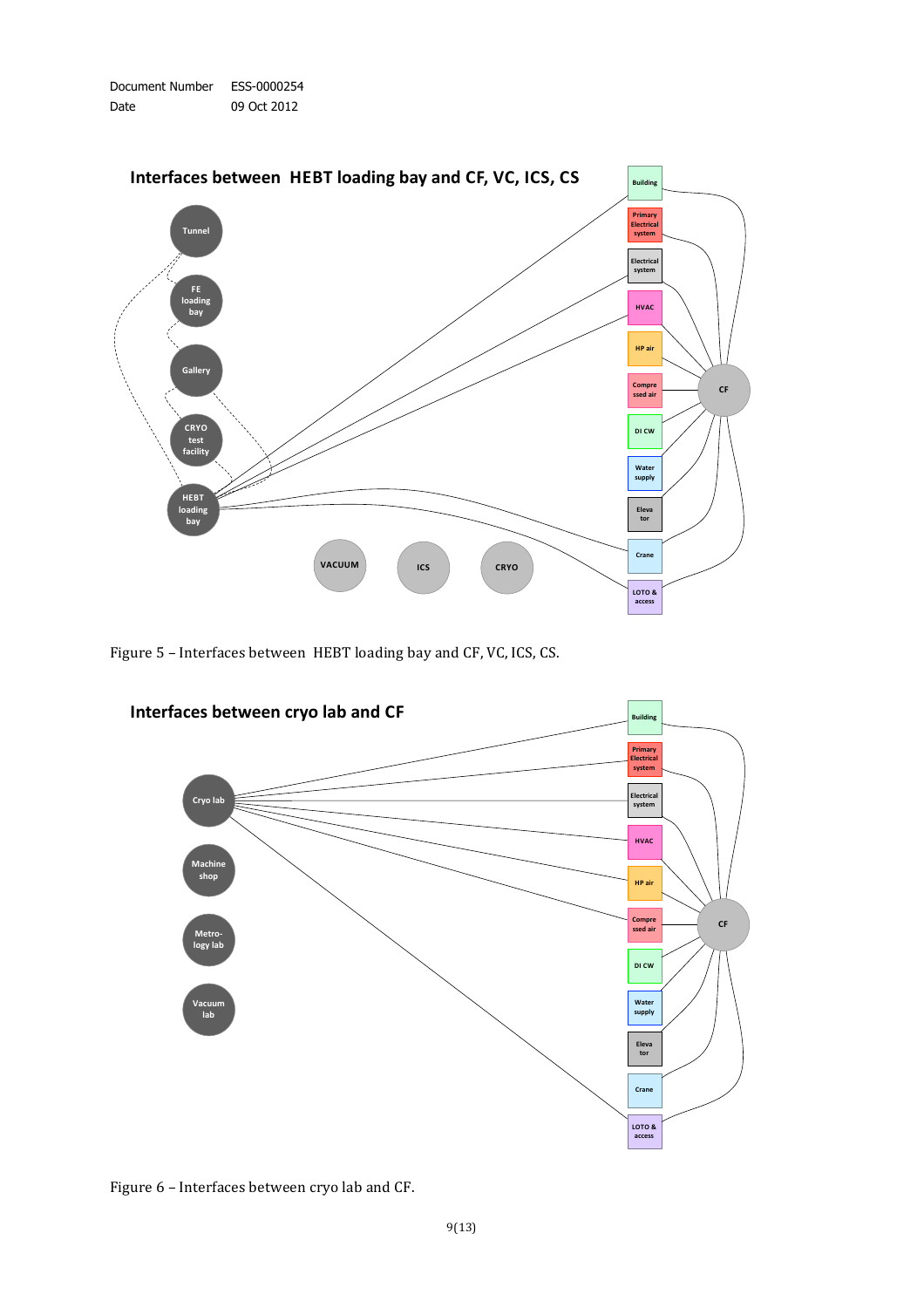



Figure 5 – Interfaces between HEBT loading bay and CF, VC, ICS, CS.



Figure 6 – Interfaces between cryo lab and CF.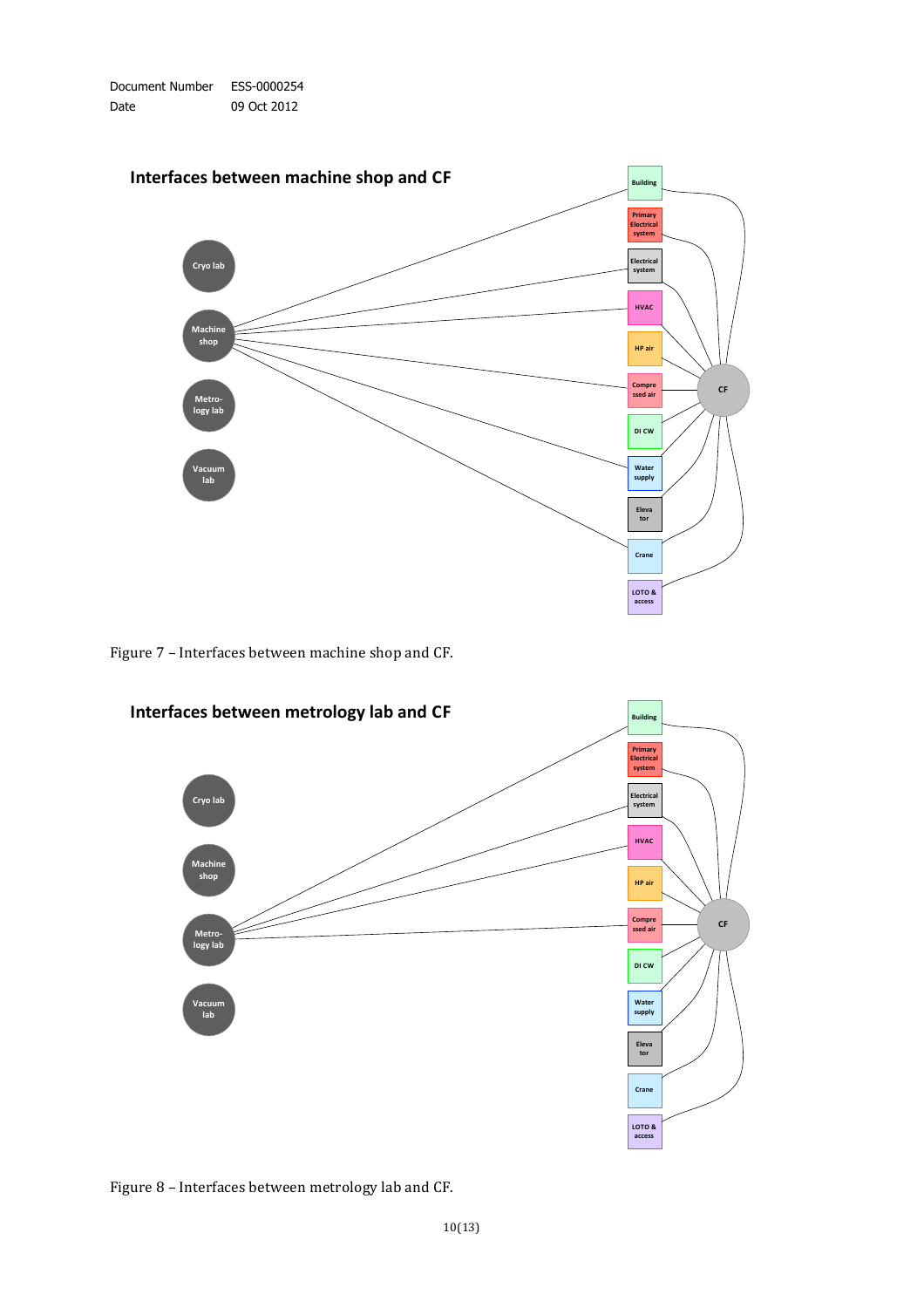

Figure 7 – Interfaces between machine shop and CF.



Figure 8 – Interfaces between metrology lab and CF.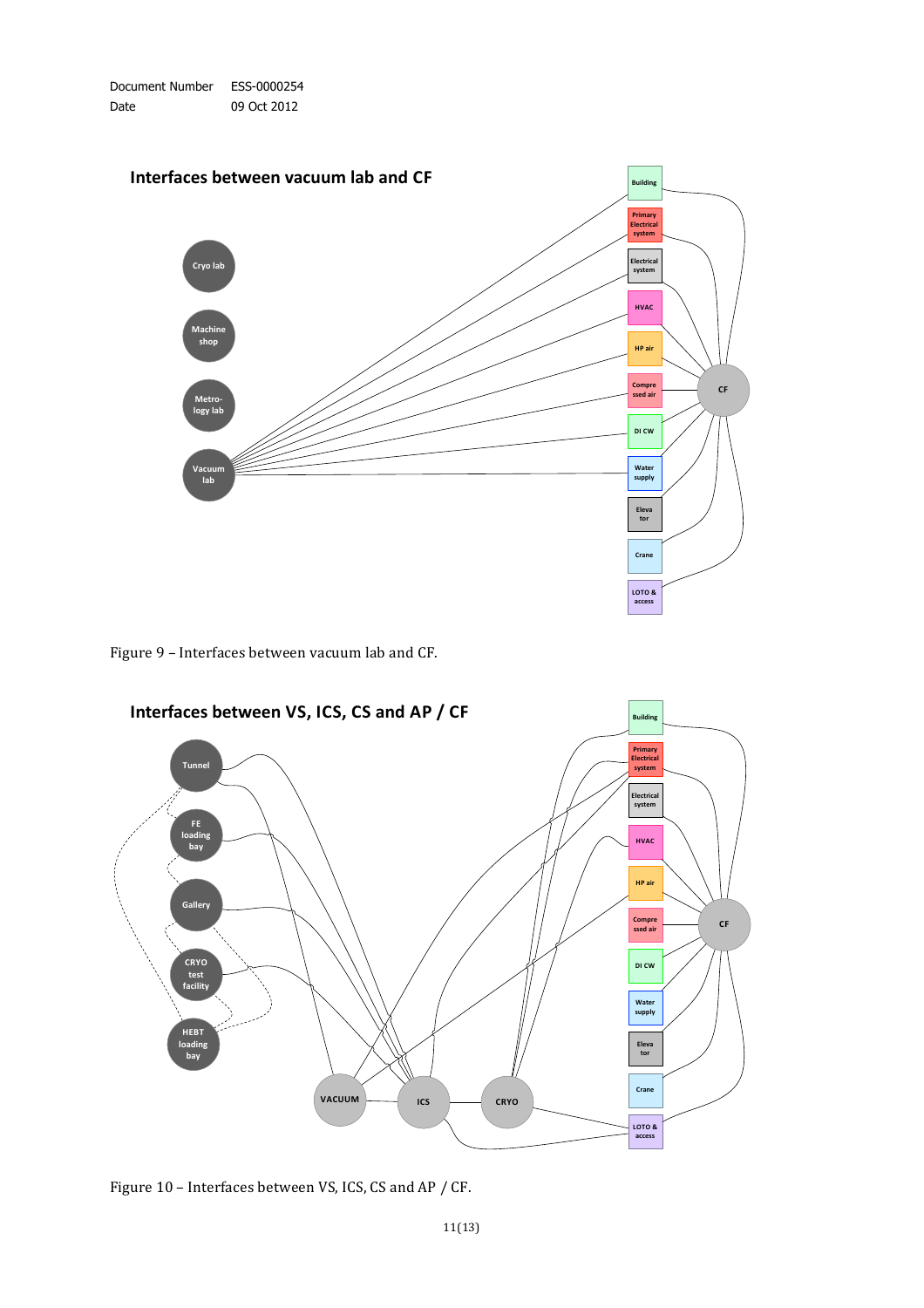

Figure 9 – Interfaces between vacuum lab and CF.



Figure 10 – Interfaces between VS, ICS, CS and AP / CF.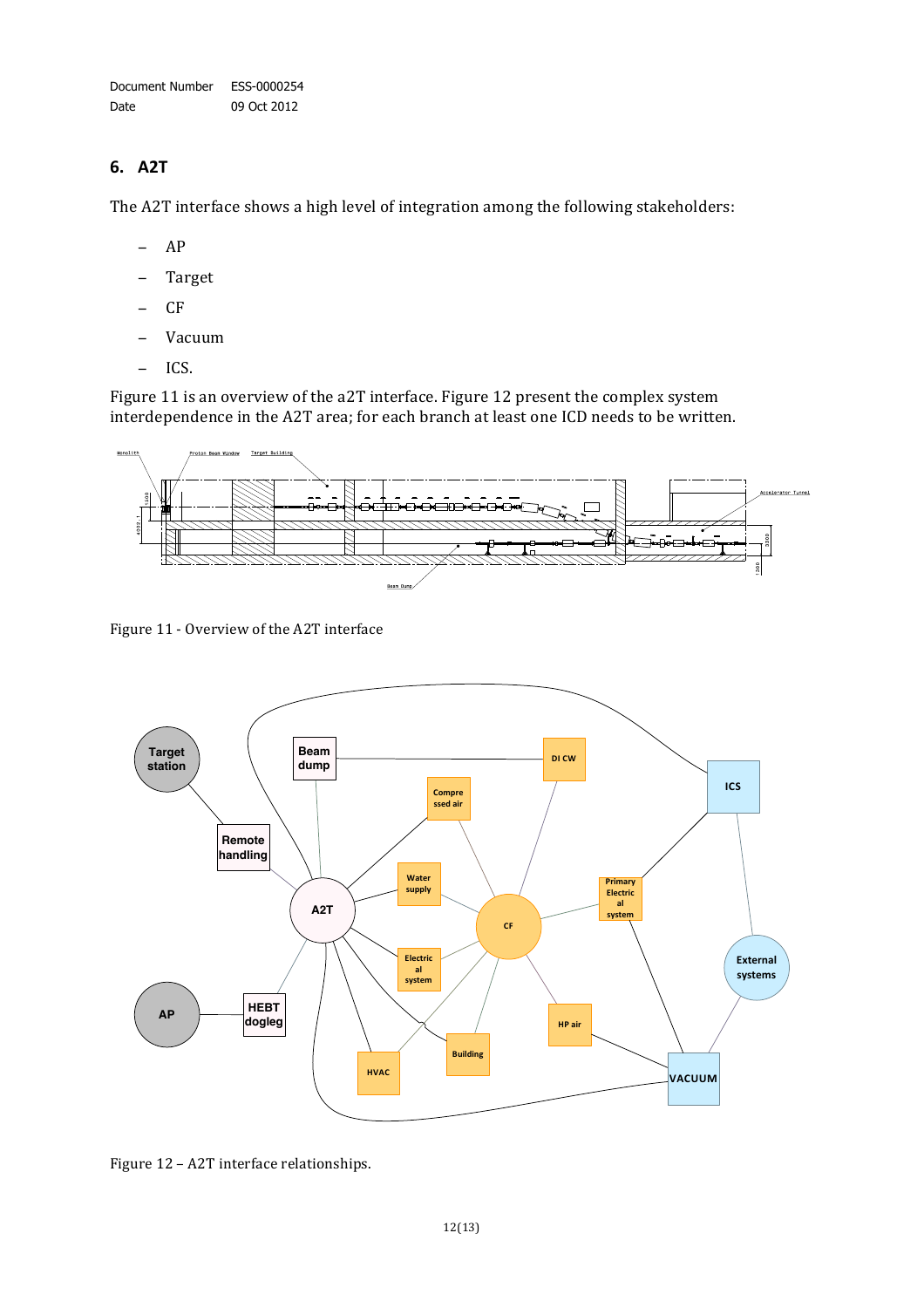Document Number ESS-0000254 Date 09 Oct 2012

#### **6. A2T**

The A2T interface shows a high level of integration among the following stakeholders:

- − AP
- − Target
- − CF
- − Vacuum
- − ICS.

Figure 11 is an overview of the a2T interface. Figure 12 present the complex system interdependence in the A2T area; for each branch at least one ICD needs to be written.



Figure 11 - Overview of the A2T interface



Figure 12 - A2T interface relationships.